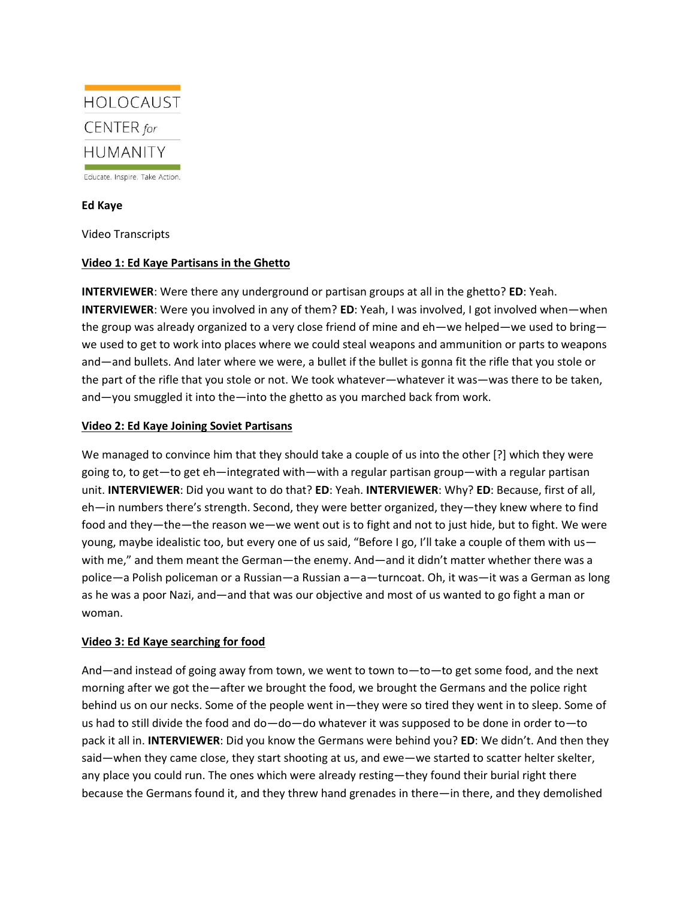

## **Ed Kaye**

Video Transcripts

## **Video 1: Ed Kaye Partisans in the Ghetto**

**INTERVIEWER**: Were there any underground or partisan groups at all in the ghetto? **ED**: Yeah. **INTERVIEWER**: Were you involved in any of them? **ED**: Yeah, I was involved, I got involved when—when the group was already organized to a very close friend of mine and eh—we helped—we used to bring we used to get to work into places where we could steal weapons and ammunition or parts to weapons and—and bullets. And later where we were, a bullet if the bullet is gonna fit the rifle that you stole or the part of the rifle that you stole or not. We took whatever—whatever it was—was there to be taken, and—you smuggled it into the—into the ghetto as you marched back from work.

## **Video 2: Ed Kaye Joining Soviet Partisans**

We managed to convince him that they should take a couple of us into the other [?] which they were going to, to get—to get eh—integrated with—with a regular partisan group—with a regular partisan unit. **INTERVIEWER**: Did you want to do that? **ED**: Yeah. **INTERVIEWER**: Why? **ED**: Because, first of all, eh—in numbers there's strength. Second, they were better organized, they—they knew where to find food and they—the—the reason we—we went out is to fight and not to just hide, but to fight. We were young, maybe idealistic too, but every one of us said, "Before I go, I'll take a couple of them with uswith me," and them meant the German—the enemy. And—and it didn't matter whether there was a police—a Polish policeman or a Russian—a Russian a—a—turncoat. Oh, it was—it was a German as long as he was a poor Nazi, and—and that was our objective and most of us wanted to go fight a man or woman.

## **Video 3: Ed Kaye searching for food**

And—and instead of going away from town, we went to town to—to—to get some food, and the next morning after we got the—after we brought the food, we brought the Germans and the police right behind us on our necks. Some of the people went in—they were so tired they went in to sleep. Some of us had to still divide the food and do—do—do whatever it was supposed to be done in order to—to pack it all in. **INTERVIEWER**: Did you know the Germans were behind you? **ED**: We didn't. And then they said—when they came close, they start shooting at us, and ewe—we started to scatter helter skelter, any place you could run. The ones which were already resting—they found their burial right there because the Germans found it, and they threw hand grenades in there—in there, and they demolished